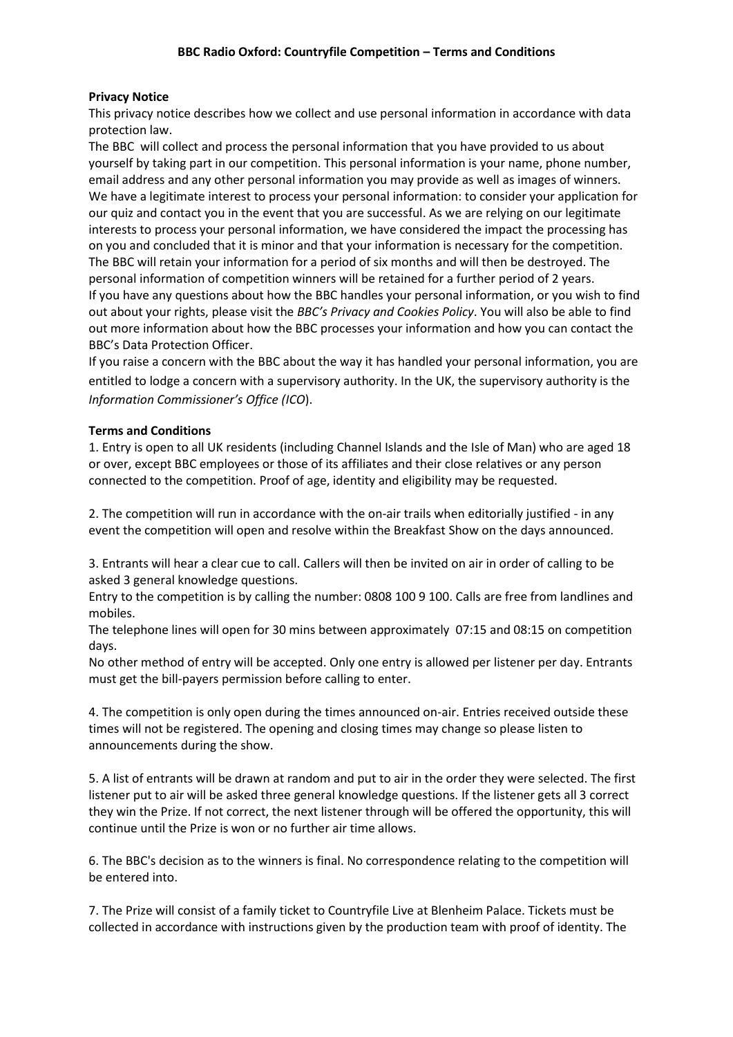## **Privacy Notice**

This privacy notice describes how we collect and use personal information in accordance with data protection law.

The BBC will collect and process the personal information that you have provided to us about yourself by taking part in our competition. This personal information is your name, phone number, email address and any other personal information you may provide as well as images of winners. We have a legitimate interest to process your personal information: to consider your application for our quiz and contact you in the event that you are successful. As we are relying on our legitimate interests to process your personal information, we have considered the impact the processing has on you and concluded that it is minor and that your information is necessary for the competition. The BBC will retain your information for a period of six months and will then be destroyed. The personal information of competition winners will be retained for a further period of 2 years. If you have any questions about how the BBC handles your personal information, or you wish to find out about your rights, please visit the *BBC's Privacy and Cookies Policy*. You will also be able to find out more information about how the BBC processes your information and how you can contact the BBC's Data Protection Officer.

If you raise a concern with the BBC about the way it has handled your personal information, you are entitled to lodge a concern with a supervisory authority. In the UK, the supervisory authority is the *Information Commissioner's Office (ICO*).

## **Terms and Conditions**

1. Entry is open to all UK residents (including Channel Islands and the Isle of Man) who are aged 18 or over, except BBC employees or those of its affiliates and their close relatives or any person connected to the competition. Proof of age, identity and eligibility may be requested.

2. The competition will run in accordance with the on-air trails when editorially justified - in any event the competition will open and resolve within the Breakfast Show on the days announced.

3. Entrants will hear a clear cue to call. Callers will then be invited on air in order of calling to be asked 3 general knowledge questions.

Entry to the competition is by calling the number: 0808 100 9 100. Calls are free from landlines and mobiles.

The telephone lines will open for 30 mins between approximately 07:15 and 08:15 on competition days.

No other method of entry will be accepted. Only one entry is allowed per listener per day. Entrants must get the bill-payers permission before calling to enter.

4. The competition is only open during the times announced on-air. Entries received outside these times will not be registered. The opening and closing times may change so please listen to announcements during the show.

5. A list of entrants will be drawn at random and put to air in the order they were selected. The first listener put to air will be asked three general knowledge questions. If the listener gets all 3 correct they win the Prize. If not correct, the next listener through will be offered the opportunity, this will continue until the Prize is won or no further air time allows.

6. The BBC's decision as to the winners is final. No correspondence relating to the competition will be entered into.

7. The Prize will consist of a family ticket to Countryfile Live at Blenheim Palace. Tickets must be collected in accordance with instructions given by the production team with proof of identity. The